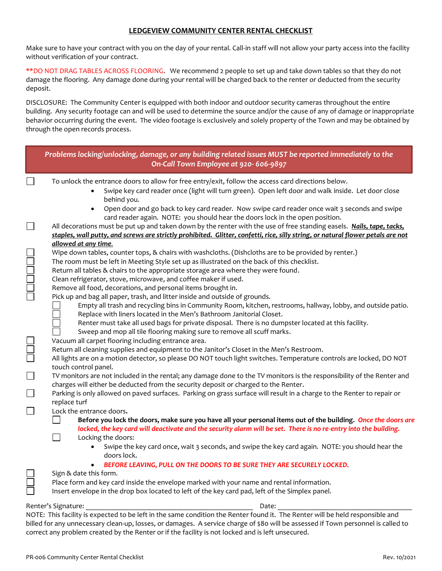## **LEDGEVIEW COMMUNITY CENTER RENTAL CHECKLIST**

Make sure to have your contract with you on the day of your rental. Call-in staff will not allow your party access into the facility without verification of your contract.

\*\*DO NOT DRAG TABLES ACROSS FLOORING. We recommend 2 people to set up and take down tables so that they do not damage the flooring. Any damage done during your rental will be charged back to the renter or deducted from the security deposit.

DISCLOSURE: The Community Center is equipped with both indoor and outdoor security cameras throughout the entire building. Any security footage can and will be used to determine the source and/or the cause of any of damage or inappropriate behavior occurring during the event. The video footage is exclusively and solely property of the Town and may be obtained by through the open records process.

|                                                                                                                                                                                                                                        | Problems locking/unlocking, damage, or any building related issues MUST be reported immediately to the<br>On-Call Town Employee at 920-606-9897                                                                                                                                     |
|----------------------------------------------------------------------------------------------------------------------------------------------------------------------------------------------------------------------------------------|-------------------------------------------------------------------------------------------------------------------------------------------------------------------------------------------------------------------------------------------------------------------------------------|
|                                                                                                                                                                                                                                        | To unlock the entrance doors to allow for free entry/exit, follow the access card directions below.<br>Swipe key card reader once (light will turn green). Open left door and walk inside. Let door close<br>behind you.                                                            |
|                                                                                                                                                                                                                                        | Open door and go back to key card reader. Now swipe card reader once wait 3 seconds and swipe<br>card reader again. NOTE: you should hear the doors lock in the open position.                                                                                                      |
|                                                                                                                                                                                                                                        | All decorations must be put up and taken down by the renter with the use of free standing easels. Nails, tape, tacks,<br>staples, wall putty, and screws are strictly prohibited. Glitter, confetti, rice, silly string, or natural flower petals are not                           |
|                                                                                                                                                                                                                                        | allowed at any time.<br>Wipe down tables, counter tops, & chairs with washcloths. (Dishcloths are to be provided by renter.)<br>The room must be left in Meeting Style set up as illustrated on the back of this checklist.                                                         |
| <b>NOCULTIC</b>                                                                                                                                                                                                                        | Return all tables & chairs to the appropriate storage area where they were found.<br>Clean refrigerator, stove, microwave, and coffee maker if used.<br>Remove all food, decorations, and personal items brought in.                                                                |
|                                                                                                                                                                                                                                        | Pick up and bag all paper, trash, and litter inside and outside of grounds.<br>Empty all trash and recycling bins in Community Room, kitchen, restrooms, hallway, lobby, and outside patio.<br>Replace with liners located in the Men's Bathroom Janitorial Closet.                 |
|                                                                                                                                                                                                                                        | Renter must take all used bags for private disposal. There is no dumpster located at this facility.<br>Sweep and mop all tile flooring making sure to remove all scuff marks.                                                                                                       |
|                                                                                                                                                                                                                                        | Vacuum all carpet flooring including entrance area.<br>Return all cleaning supplies and equipment to the Janitor's Closet in the Men's Restroom.<br>All lights are on a motion detector, so please DO NOT touch light switches. Temperature controls are locked, DO NOT             |
| $\Box$                                                                                                                                                                                                                                 | touch control panel.<br>TV monitors are not included in the rental; any damage done to the TV monitors is the responsibility of the Renter and<br>charges will either be deducted from the security deposit or charged to the Renter.                                               |
|                                                                                                                                                                                                                                        | Parking is only allowed on paved surfaces. Parking on grass surface will result in a charge to the Renter to repair or<br>replace turf                                                                                                                                              |
|                                                                                                                                                                                                                                        | Lock the entrance doors.<br>Before you lock the doors, make sure you have all your personal items out of the building. Once the doors are<br>locked, the key card will deactivate and the security alarm will be set. There is no re-entry into the building.<br>Locking the doors: |
|                                                                                                                                                                                                                                        | Swipe the key card once, wait 3 seconds, and swipe the key card again. NOTE: you should hear the<br>doors lock.                                                                                                                                                                     |
|                                                                                                                                                                                                                                        | BEFORE LEAVING, PULL ON THE DOORS TO BE SURE THEY ARE SECURELY LOCKED.<br>Sign & date this form.                                                                                                                                                                                    |
|                                                                                                                                                                                                                                        | Place form and key card inside the envelope marked with your name and rental information.<br>Insert envelope in the drop box located to left of the key card pad, left of the Simplex panel.                                                                                        |
|                                                                                                                                                                                                                                        | Renter's Signature:<br>Date:<br>NOTE: This facility is expected to be left in the same condition the Renter found it. The Renter will be held responsible and                                                                                                                       |
| billed for any unnecessary clean-up, losses, or damages. A service charge of \$80 will be assessed if Town personnel is called to<br>correct any problem created by the Renter or if the facility is not locked and is left unsecured. |                                                                                                                                                                                                                                                                                     |